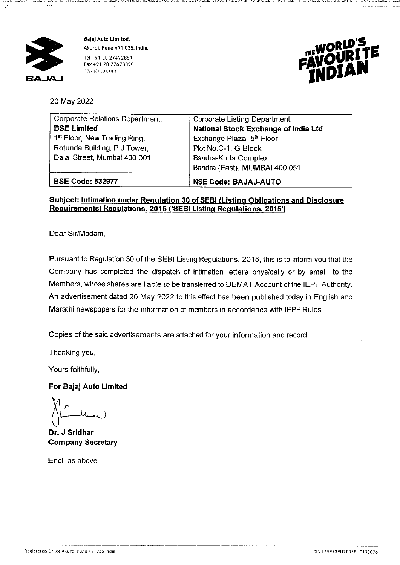

Bajaj Auto Limited, Akurdi, Pune 411 035. lndia. Tel +91 20 27472851 Fax +91 20 27473398 bajajauto.com



20 May 2022

| Corporate Relations Department.          | Corporate Listing Department.               |
|------------------------------------------|---------------------------------------------|
| <b>BSE Limited</b>                       | <b>National Stock Exchange of India Ltd</b> |
| 1 <sup>st</sup> Floor, New Trading Ring, | Exchange Plaza, 5th Floor                   |
| Rotunda Building, P J Tower,             | Plot No.C-1, G Block                        |
| Dalal Street, Mumbai 400 001             | Bandra-Kurla Complex                        |
|                                          | Bandra (East), MUMBAI 400 051               |
| <b>BSE Code: 532977</b>                  | <b>NSE Code: BAJAJ-AUTO</b>                 |

### **Subject: Intimation under Regulation 30 of SEBI (Listing Obligations and Disclosure Requirements) Regulations. 2015 ('SEBI Listing Regulations. 2015')**

Dear Sir/Madam,

Pursuant to Regulation 30 of the SEBI Listing Regulations, 2015, this is to inform you that the Company has completed the dispatch of intimation letters physically or by email, to the Members, whose shares are liable to be transferred to DEMAT Account of the IEPF Authority. An advertisement dated 20 May 2022 to this effect has been published today in English and Marathi newspapers for the information of members in accordance with IEPF Rules.

Copies of the said advertisements are attached for your information and record.

Thanking you,

Yours faithfully,

#### **For Bajaj Auto Limited**

**Dr. J Sridhar Company Secretary** 

Encl: as above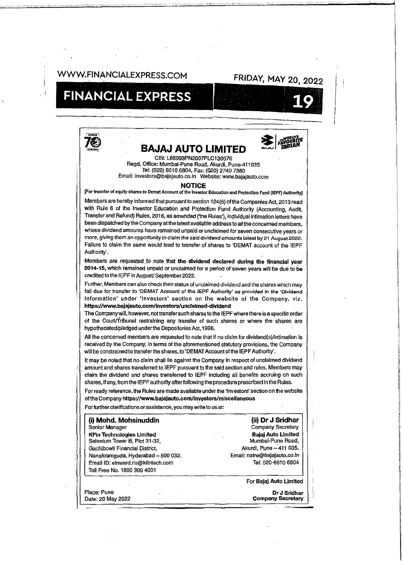## WWW.FINANCIALEXPRESS.COM FRIDAY, MAY 20, 2022

# **FINANCIAL EXPRESS**